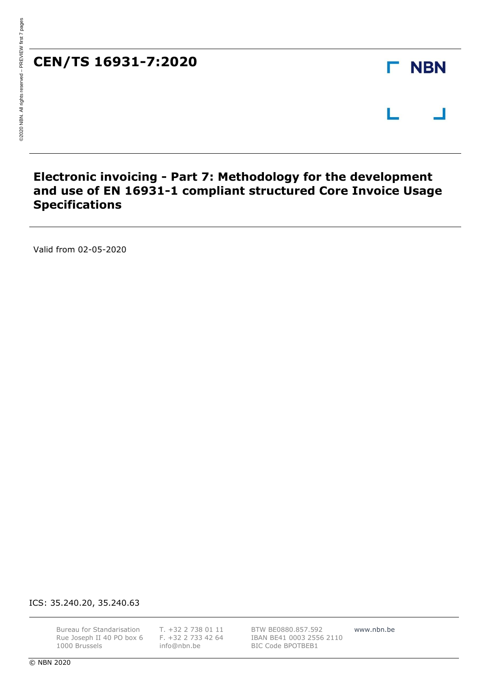### **Electronic invoicing - Part 7: Methodology for the development and use of EN 16931-1 compliant structured Core Invoice Usage Specifications**

Valid from 02-05-2020

ICS: 35.240.20, 35.240.63

Bureau for Standarisation Rue Joseph II 40 PO box 6 1000 Brussels

T. +32 2 738 01 11 F. +32 2 733 42 64 [info@nbn.be](mailto:info@nbn.be)

BTW BE0880.857.592 IBAN BE41 0003 2556 2110 BIC Code BPOTBEB1

www.nbn.be

**NBN** 

Г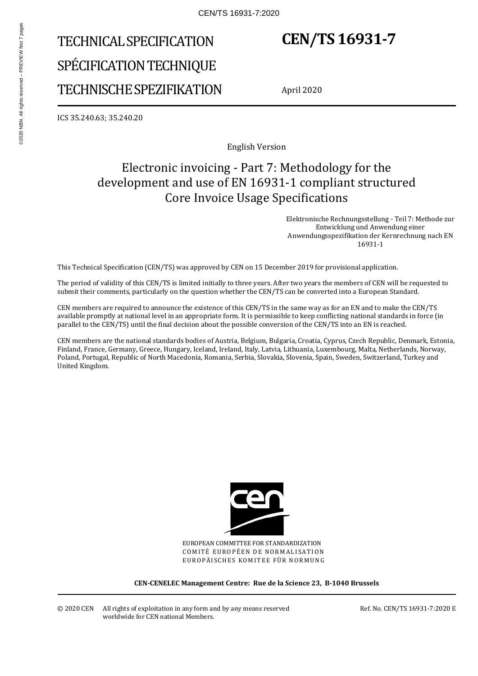# TECHNICAL SPECIFICATION SPÉCIFICATION TECHNIQUE TECHNISCHE SPEZIFIKATION

## **CEN/TS 16931-7**

April 2020

ICS 35.240.63; 35.240.20

English Version

### Electronic invoicing - Part 7: Methodology for the development and use of EN 16931-1 compliant structured Core Invoice Usage Specifications

 Elektronische Rechnungsstellung - Teil 7: Methode zur Entwicklung und Anwendung einer Anwendungsspezifikation der Kernrechnung nach EN 16931-1

This Technical Specification (CEN/TS) was approved by CEN on 15 December 2019 for provisional application.

The period of validity of this CEN/TS is limited initially to three years. After two years the members of CEN will be requested to submit their comments, particularly on the question whether the CEN/TS can be converted into a European Standard.

CEN members are required to announce the existence of this CEN/TS in the same way as for an EN and to make the CEN/TS available promptly at national level in an appropriate form. It is permissible to keep conflicting national standards in force (in parallel to the CEN/TS) until the final decision about the possible conversion of the CEN/TS into an EN is reached.

CEN members are the national standards bodies of Austria, Belgium, Bulgaria, Croatia, Cyprus, Czech Republic, Denmark, Estonia, Finland, France, Germany, Greece, Hungary, Iceland, Ireland, Italy, Latvia, Lithuania, Luxembourg, Malta, Netherlands, Norway, Poland, Portugal, Republic of North Macedonia, Romania, Serbia, Slovakia, Slovenia, Spain, Sweden, Switzerland, Turkey and United Kingdom.



EUROPEAN COMMITTEE FOR STANDARDIZATION COMITÉ EUROPÉEN DE NORMALISATION EUROPÄISCHES KOMITEE FÜR NORMUNG

**CEN-CENELEC Management Centre: Rue de la Science 23, B-1040 Brussels** 

Ref. No. CEN/TS 16931-7:2020 E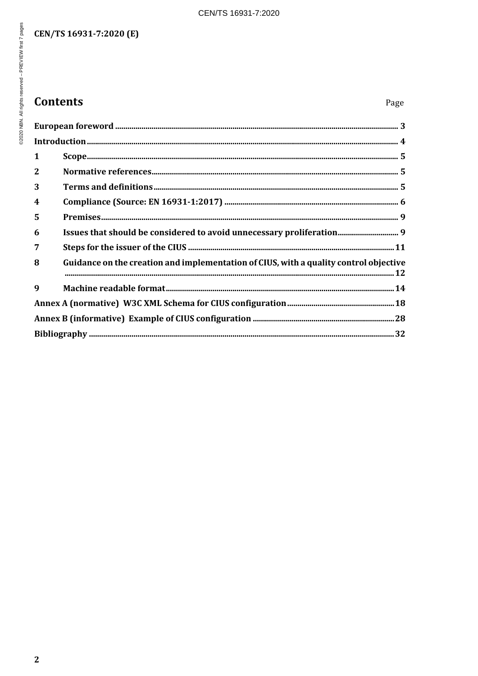### CEN/TS 16931-7:2020 (E)

## **Contents**

| 1           |                                                                                       |  |
|-------------|---------------------------------------------------------------------------------------|--|
| 2           |                                                                                       |  |
| 3           |                                                                                       |  |
| 4           |                                                                                       |  |
| 5           |                                                                                       |  |
| 6           |                                                                                       |  |
| 7           |                                                                                       |  |
| 8           | Guidance on the creation and implementation of CIUS, with a quality control objective |  |
| $\mathbf q$ |                                                                                       |  |
|             |                                                                                       |  |
|             |                                                                                       |  |
|             |                                                                                       |  |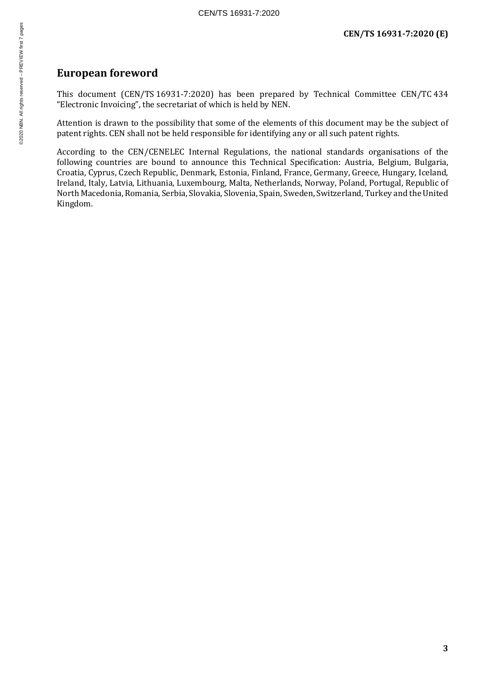### **European foreword**

This document (CEN/TS 16931-7:2020) has been prepared by Technical Committee CEN/TC 434 "Electronic Invoicing", the secretariat of which is held by NEN.

Attention is drawn to the possibility that some of the elements of this document may be the subject of patent rights. CEN shall not be held responsible for identifying any or all such patent rights.

According to the CEN/CENELEC Internal Regulations, the national standards organisations of the following countries are bound to announce this Technical Specification: Austria, Belgium, Bulgaria, Croatia, Cyprus, Czech Republic, Denmark, Estonia, Finland, France, Germany, Greece, Hungary, Iceland, Ireland, Italy, Latvia, Lithuania, Luxembourg, Malta, Netherlands, Norway, Poland, Portugal, Republic of North Macedonia, Romania, Serbia, Slovakia, Slovenia, Spain, Sweden, Switzerland, Turkey and the United Kingdom.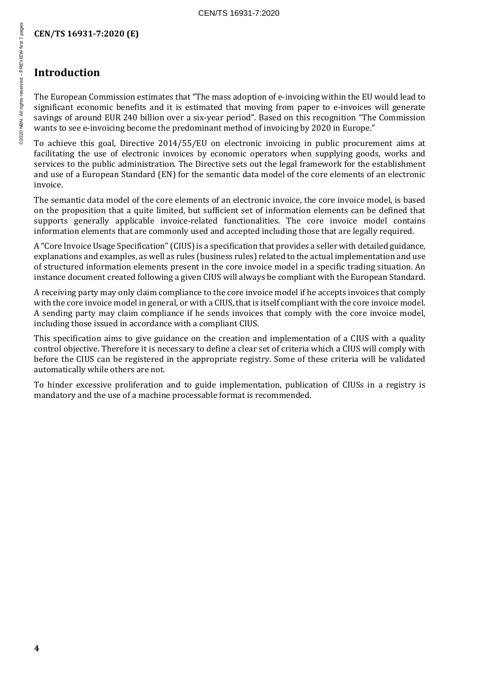### **Introduction**

The European Commission estimates that "The mass adoption of e-invoicing within the EU would lead to significant economic benefits and it is estimated that moving from paper to e-invoices will generate savings of around EUR 240 billion over a six-year period". Based on this recognition "The Commission wants to see e-invoicing become the predominant method of invoicing by 2020 in Europe."

To achieve this goal, Directive 2014/55/EU on electronic invoicing in public procurement aims at facilitating the use of electronic invoices by economic operators when supplying goods, works and services to the public administration. The Directive sets out the legal framework for the establishment and use of a European Standard (EN) for the semantic data model of the core elements of an electronic invoice.

The semantic data model of the core elements of an electronic invoice, the core invoice model, is based on the proposition that a quite limited, but sufficient set of information elements can be defined that supports generally applicable invoice-related functionalities. The core invoice model contains information elements that are commonly used and accepted including those that are legally required.

A "Core Invoice Usage Specification" (CIUS) is a specification that provides a seller with detailed guidance, explanations and examples, as well as rules (business rules) related to the actual implementation and use of structured information elements present in the core invoice model in a specific trading situation. An instance document created following a given CIUS will always be compliant with the European Standard.

A receiving party may only claim compliance to the core invoice model if he accepts invoices that comply with the core invoice model in general, or with a CIUS, that is itself compliant with the core invoice model. A sending party may claim compliance if he sends invoices that comply with the core invoice model, including those issued in accordance with a compliant CIUS.

This specification aims to give guidance on the creation and implementation of a CIUS with a quality control objective. Therefore it is necessary to define a clear set of criteria which a CIUS will comply with before the CIUS can be registered in the appropriate registry. Some of these criteria will be validated automatically while others are not.

To hinder excessive proliferation and to guide implementation, publication of CIUSs in a registry is mandatory and the use of a machine processable format is recommended.